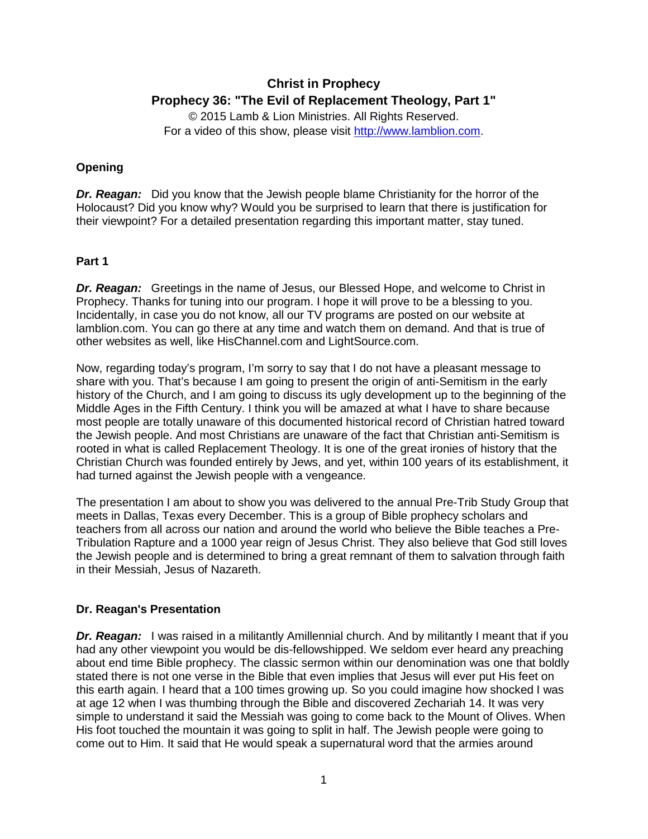# **Christ in Prophecy Prophecy 36: "The Evil of Replacement Theology, Part 1"**

© 2015 Lamb & Lion Ministries. All Rights Reserved. For a video of this show, please visit [http://www.lamblion.com.](http://www.lamblion.com/)

## **Opening**

*Dr. Reagan:* Did you know that the Jewish people blame Christianity for the horror of the Holocaust? Did you know why? Would you be surprised to learn that there is justification for their viewpoint? For a detailed presentation regarding this important matter, stay tuned.

### **Part 1**

**Dr. Reagan:** Greetings in the name of Jesus, our Blessed Hope, and welcome to Christ in Prophecy. Thanks for tuning into our program. I hope it will prove to be a blessing to you. Incidentally, in case you do not know, all our TV programs are posted on our website at lamblion.com. You can go there at any time and watch them on demand. And that is true of other websites as well, like HisChannel.com and LightSource.com.

Now, regarding today's program, I'm sorry to say that I do not have a pleasant message to share with you. That's because I am going to present the origin of anti-Semitism in the early history of the Church, and I am going to discuss its ugly development up to the beginning of the Middle Ages in the Fifth Century. I think you will be amazed at what I have to share because most people are totally unaware of this documented historical record of Christian hatred toward the Jewish people. And most Christians are unaware of the fact that Christian anti-Semitism is rooted in what is called Replacement Theology. It is one of the great ironies of history that the Christian Church was founded entirely by Jews, and yet, within 100 years of its establishment, it had turned against the Jewish people with a vengeance.

The presentation I am about to show you was delivered to the annual Pre-Trib Study Group that meets in Dallas, Texas every December. This is a group of Bible prophecy scholars and teachers from all across our nation and around the world who believe the Bible teaches a Pre-Tribulation Rapture and a 1000 year reign of Jesus Christ. They also believe that God still loves the Jewish people and is determined to bring a great remnant of them to salvation through faith in their Messiah, Jesus of Nazareth.

#### **Dr. Reagan's Presentation**

*Dr. Reagan:* I was raised in a militantly Amillennial church. And by militantly I meant that if you had any other viewpoint you would be dis-fellowshipped. We seldom ever heard any preaching about end time Bible prophecy. The classic sermon within our denomination was one that boldly stated there is not one verse in the Bible that even implies that Jesus will ever put His feet on this earth again. I heard that a 100 times growing up. So you could imagine how shocked I was at age 12 when I was thumbing through the Bible and discovered Zechariah 14. It was very simple to understand it said the Messiah was going to come back to the Mount of Olives. When His foot touched the mountain it was going to split in half. The Jewish people were going to come out to Him. It said that He would speak a supernatural word that the armies around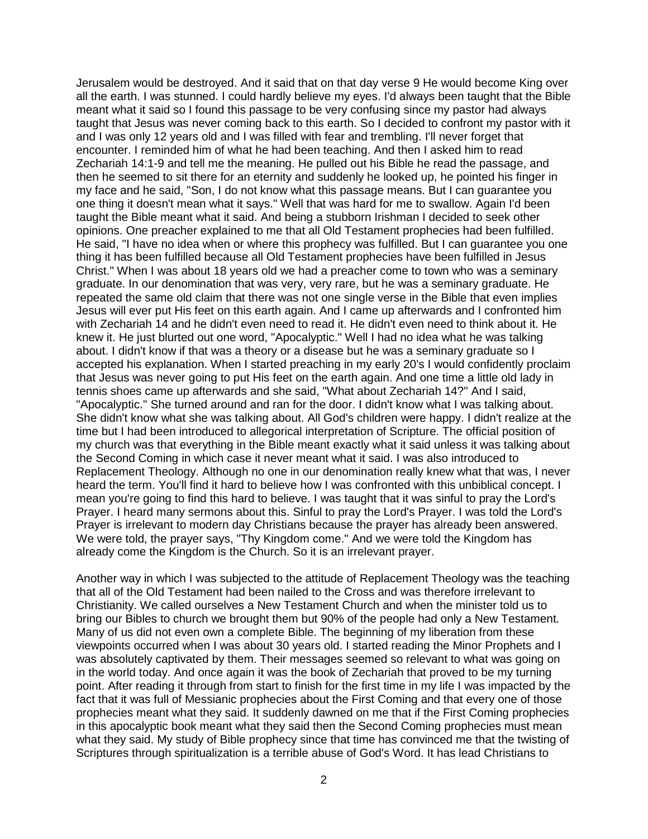Jerusalem would be destroyed. And it said that on that day verse 9 He would become King over all the earth. I was stunned. I could hardly believe my eyes. I'd always been taught that the Bible meant what it said so I found this passage to be very confusing since my pastor had always taught that Jesus was never coming back to this earth. So I decided to confront my pastor with it and I was only 12 years old and I was filled with fear and trembling. I'll never forget that encounter. I reminded him of what he had been teaching. And then I asked him to read Zechariah 14:1-9 and tell me the meaning. He pulled out his Bible he read the passage, and then he seemed to sit there for an eternity and suddenly he looked up, he pointed his finger in my face and he said, "Son, I do not know what this passage means. But I can guarantee you one thing it doesn't mean what it says." Well that was hard for me to swallow. Again I'd been taught the Bible meant what it said. And being a stubborn Irishman I decided to seek other opinions. One preacher explained to me that all Old Testament prophecies had been fulfilled. He said, "I have no idea when or where this prophecy was fulfilled. But I can guarantee you one thing it has been fulfilled because all Old Testament prophecies have been fulfilled in Jesus Christ." When I was about 18 years old we had a preacher come to town who was a seminary graduate. In our denomination that was very, very rare, but he was a seminary graduate. He repeated the same old claim that there was not one single verse in the Bible that even implies Jesus will ever put His feet on this earth again. And I came up afterwards and I confronted him with Zechariah 14 and he didn't even need to read it. He didn't even need to think about it. He knew it. He just blurted out one word, "Apocalyptic." Well I had no idea what he was talking about. I didn't know if that was a theory or a disease but he was a seminary graduate so I accepted his explanation. When I started preaching in my early 20's I would confidently proclaim that Jesus was never going to put His feet on the earth again. And one time a little old lady in tennis shoes came up afterwards and she said, "What about Zechariah 14?" And I said, "Apocalyptic." She turned around and ran for the door. I didn't know what I was talking about. She didn't know what she was talking about. All God's children were happy. I didn't realize at the time but I had been introduced to allegorical interpretation of Scripture. The official position of my church was that everything in the Bible meant exactly what it said unless it was talking about the Second Coming in which case it never meant what it said. I was also introduced to Replacement Theology. Although no one in our denomination really knew what that was, I never heard the term. You'll find it hard to believe how I was confronted with this unbiblical concept. I mean you're going to find this hard to believe. I was taught that it was sinful to pray the Lord's Prayer. I heard many sermons about this. Sinful to pray the Lord's Prayer. I was told the Lord's Prayer is irrelevant to modern day Christians because the prayer has already been answered. We were told, the prayer says, "Thy Kingdom come." And we were told the Kingdom has already come the Kingdom is the Church. So it is an irrelevant prayer.

Another way in which I was subjected to the attitude of Replacement Theology was the teaching that all of the Old Testament had been nailed to the Cross and was therefore irrelevant to Christianity. We called ourselves a New Testament Church and when the minister told us to bring our Bibles to church we brought them but 90% of the people had only a New Testament. Many of us did not even own a complete Bible. The beginning of my liberation from these viewpoints occurred when I was about 30 years old. I started reading the Minor Prophets and I was absolutely captivated by them. Their messages seemed so relevant to what was going on in the world today. And once again it was the book of Zechariah that proved to be my turning point. After reading it through from start to finish for the first time in my life I was impacted by the fact that it was full of Messianic prophecies about the First Coming and that every one of those prophecies meant what they said. It suddenly dawned on me that if the First Coming prophecies in this apocalyptic book meant what they said then the Second Coming prophecies must mean what they said. My study of Bible prophecy since that time has convinced me that the twisting of Scriptures through spiritualization is a terrible abuse of God's Word. It has lead Christians to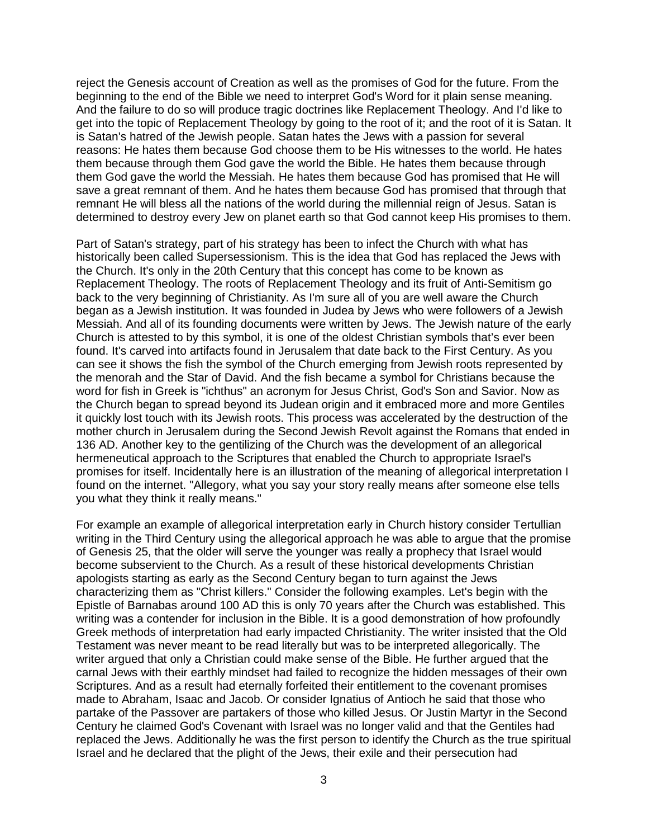reject the Genesis account of Creation as well as the promises of God for the future. From the beginning to the end of the Bible we need to interpret God's Word for it plain sense meaning. And the failure to do so will produce tragic doctrines like Replacement Theology. And I'd like to get into the topic of Replacement Theology by going to the root of it; and the root of it is Satan. It is Satan's hatred of the Jewish people. Satan hates the Jews with a passion for several reasons: He hates them because God choose them to be His witnesses to the world. He hates them because through them God gave the world the Bible. He hates them because through them God gave the world the Messiah. He hates them because God has promised that He will save a great remnant of them. And he hates them because God has promised that through that remnant He will bless all the nations of the world during the millennial reign of Jesus. Satan is determined to destroy every Jew on planet earth so that God cannot keep His promises to them.

Part of Satan's strategy, part of his strategy has been to infect the Church with what has historically been called Supersessionism. This is the idea that God has replaced the Jews with the Church. It's only in the 20th Century that this concept has come to be known as Replacement Theology. The roots of Replacement Theology and its fruit of Anti-Semitism go back to the very beginning of Christianity. As I'm sure all of you are well aware the Church began as a Jewish institution. It was founded in Judea by Jews who were followers of a Jewish Messiah. And all of its founding documents were written by Jews. The Jewish nature of the early Church is attested to by this symbol, it is one of the oldest Christian symbols that's ever been found. It's carved into artifacts found in Jerusalem that date back to the First Century. As you can see it shows the fish the symbol of the Church emerging from Jewish roots represented by the menorah and the Star of David. And the fish became a symbol for Christians because the word for fish in Greek is "ichthus" an acronym for Jesus Christ, God's Son and Savior. Now as the Church began to spread beyond its Judean origin and it embraced more and more Gentiles it quickly lost touch with its Jewish roots. This process was accelerated by the destruction of the mother church in Jerusalem during the Second Jewish Revolt against the Romans that ended in 136 AD. Another key to the gentilizing of the Church was the development of an allegorical hermeneutical approach to the Scriptures that enabled the Church to appropriate Israel's promises for itself. Incidentally here is an illustration of the meaning of allegorical interpretation I found on the internet. "Allegory, what you say your story really means after someone else tells you what they think it really means."

For example an example of allegorical interpretation early in Church history consider Tertullian writing in the Third Century using the allegorical approach he was able to argue that the promise of Genesis 25, that the older will serve the younger was really a prophecy that Israel would become subservient to the Church. As a result of these historical developments Christian apologists starting as early as the Second Century began to turn against the Jews characterizing them as "Christ killers." Consider the following examples. Let's begin with the Epistle of Barnabas around 100 AD this is only 70 years after the Church was established. This writing was a contender for inclusion in the Bible. It is a good demonstration of how profoundly Greek methods of interpretation had early impacted Christianity. The writer insisted that the Old Testament was never meant to be read literally but was to be interpreted allegorically. The writer argued that only a Christian could make sense of the Bible. He further argued that the carnal Jews with their earthly mindset had failed to recognize the hidden messages of their own Scriptures. And as a result had eternally forfeited their entitlement to the covenant promises made to Abraham, Isaac and Jacob. Or consider Ignatius of Antioch he said that those who partake of the Passover are partakers of those who killed Jesus. Or Justin Martyr in the Second Century he claimed God's Covenant with Israel was no longer valid and that the Gentiles had replaced the Jews. Additionally he was the first person to identify the Church as the true spiritual Israel and he declared that the plight of the Jews, their exile and their persecution had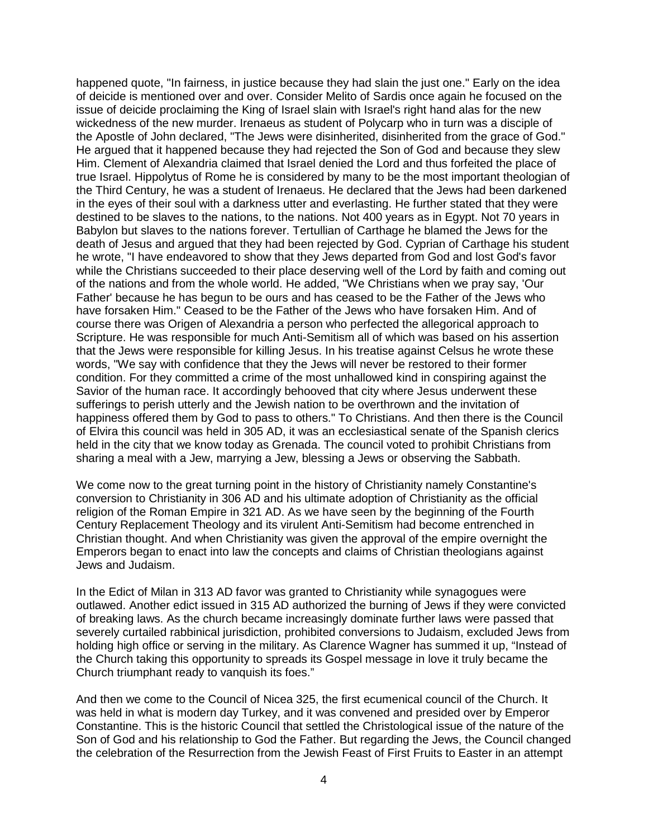happened quote, "In fairness, in justice because they had slain the just one." Early on the idea of deicide is mentioned over and over. Consider Melito of Sardis once again he focused on the issue of deicide proclaiming the King of Israel slain with Israel's right hand alas for the new wickedness of the new murder. Irenaeus as student of Polycarp who in turn was a disciple of the Apostle of John declared, "The Jews were disinherited, disinherited from the grace of God." He argued that it happened because they had rejected the Son of God and because they slew Him. Clement of Alexandria claimed that Israel denied the Lord and thus forfeited the place of true Israel. Hippolytus of Rome he is considered by many to be the most important theologian of the Third Century, he was a student of Irenaeus. He declared that the Jews had been darkened in the eyes of their soul with a darkness utter and everlasting. He further stated that they were destined to be slaves to the nations, to the nations. Not 400 years as in Egypt. Not 70 years in Babylon but slaves to the nations forever. Tertullian of Carthage he blamed the Jews for the death of Jesus and argued that they had been rejected by God. Cyprian of Carthage his student he wrote, "I have endeavored to show that they Jews departed from God and lost God's favor while the Christians succeeded to their place deserving well of the Lord by faith and coming out of the nations and from the whole world. He added, "We Christians when we pray say, 'Our Father' because he has begun to be ours and has ceased to be the Father of the Jews who have forsaken Him." Ceased to be the Father of the Jews who have forsaken Him. And of course there was Origen of Alexandria a person who perfected the allegorical approach to Scripture. He was responsible for much Anti-Semitism all of which was based on his assertion that the Jews were responsible for killing Jesus. In his treatise against Celsus he wrote these words, "We say with confidence that they the Jews will never be restored to their former condition. For they committed a crime of the most unhallowed kind in conspiring against the Savior of the human race. It accordingly behooved that city where Jesus underwent these sufferings to perish utterly and the Jewish nation to be overthrown and the invitation of happiness offered them by God to pass to others." To Christians. And then there is the Council of Elvira this council was held in 305 AD, it was an ecclesiastical senate of the Spanish clerics held in the city that we know today as Grenada. The council voted to prohibit Christians from sharing a meal with a Jew, marrying a Jew, blessing a Jews or observing the Sabbath.

We come now to the great turning point in the history of Christianity namely Constantine's conversion to Christianity in 306 AD and his ultimate adoption of Christianity as the official religion of the Roman Empire in 321 AD. As we have seen by the beginning of the Fourth Century Replacement Theology and its virulent Anti-Semitism had become entrenched in Christian thought. And when Christianity was given the approval of the empire overnight the Emperors began to enact into law the concepts and claims of Christian theologians against Jews and Judaism.

In the Edict of Milan in 313 AD favor was granted to Christianity while synagogues were outlawed. Another edict issued in 315 AD authorized the burning of Jews if they were convicted of breaking laws. As the church became increasingly dominate further laws were passed that severely curtailed rabbinical jurisdiction, prohibited conversions to Judaism, excluded Jews from holding high office or serving in the military. As Clarence Wagner has summed it up, "Instead of the Church taking this opportunity to spreads its Gospel message in love it truly became the Church triumphant ready to vanquish its foes."

And then we come to the Council of Nicea 325, the first ecumenical council of the Church. It was held in what is modern day Turkey, and it was convened and presided over by Emperor Constantine. This is the historic Council that settled the Christological issue of the nature of the Son of God and his relationship to God the Father. But regarding the Jews, the Council changed the celebration of the Resurrection from the Jewish Feast of First Fruits to Easter in an attempt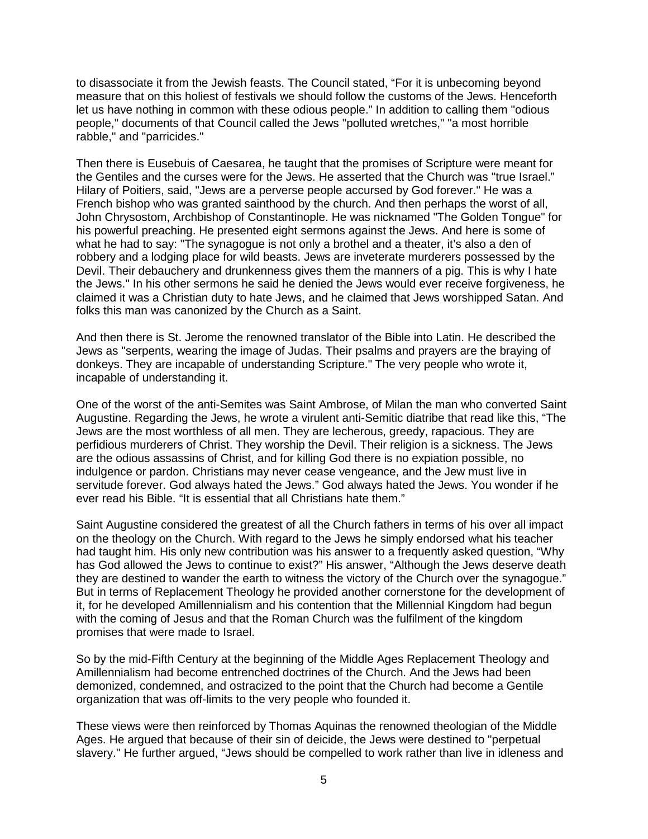to disassociate it from the Jewish feasts. The Council stated, "For it is unbecoming beyond measure that on this holiest of festivals we should follow the customs of the Jews. Henceforth let us have nothing in common with these odious people." In addition to calling them "odious people," documents of that Council called the Jews "polluted wretches," "a most horrible rabble," and "parricides."

Then there is Eusebuis of Caesarea, he taught that the promises of Scripture were meant for the Gentiles and the curses were for the Jews. He asserted that the Church was "true Israel." Hilary of Poitiers, said, "Jews are a perverse people accursed by God forever." He was a French bishop who was granted sainthood by the church. And then perhaps the worst of all, John Chrysostom, Archbishop of Constantinople. He was nicknamed "The Golden Tongue" for his powerful preaching. He presented eight sermons against the Jews. And here is some of what he had to say: "The synagogue is not only a brothel and a theater, it's also a den of robbery and a lodging place for wild beasts. Jews are inveterate murderers possessed by the Devil. Their debauchery and drunkenness gives them the manners of a pig. This is why I hate the Jews." In his other sermons he said he denied the Jews would ever receive forgiveness, he claimed it was a Christian duty to hate Jews, and he claimed that Jews worshipped Satan. And folks this man was canonized by the Church as a Saint.

And then there is St. Jerome the renowned translator of the Bible into Latin. He described the Jews as "serpents, wearing the image of Judas. Their psalms and prayers are the braying of donkeys. They are incapable of understanding Scripture." The very people who wrote it, incapable of understanding it.

One of the worst of the anti-Semites was Saint Ambrose, of Milan the man who converted Saint Augustine. Regarding the Jews, he wrote a virulent anti-Semitic diatribe that read like this, "The Jews are the most worthless of all men. They are lecherous, greedy, rapacious. They are perfidious murderers of Christ. They worship the Devil. Their religion is a sickness. The Jews are the odious assassins of Christ, and for killing God there is no expiation possible, no indulgence or pardon. Christians may never cease vengeance, and the Jew must live in servitude forever. God always hated the Jews." God always hated the Jews. You wonder if he ever read his Bible. "It is essential that all Christians hate them."

Saint Augustine considered the greatest of all the Church fathers in terms of his over all impact on the theology on the Church. With regard to the Jews he simply endorsed what his teacher had taught him. His only new contribution was his answer to a frequently asked question, "Why has God allowed the Jews to continue to exist?" His answer, "Although the Jews deserve death they are destined to wander the earth to witness the victory of the Church over the synagogue." But in terms of Replacement Theology he provided another cornerstone for the development of it, for he developed Amillennialism and his contention that the Millennial Kingdom had begun with the coming of Jesus and that the Roman Church was the fulfilment of the kingdom promises that were made to Israel.

So by the mid-Fifth Century at the beginning of the Middle Ages Replacement Theology and Amillennialism had become entrenched doctrines of the Church. And the Jews had been demonized, condemned, and ostracized to the point that the Church had become a Gentile organization that was off-limits to the very people who founded it.

These views were then reinforced by Thomas Aquinas the renowned theologian of the Middle Ages. He argued that because of their sin of deicide, the Jews were destined to "perpetual slavery." He further argued, "Jews should be compelled to work rather than live in idleness and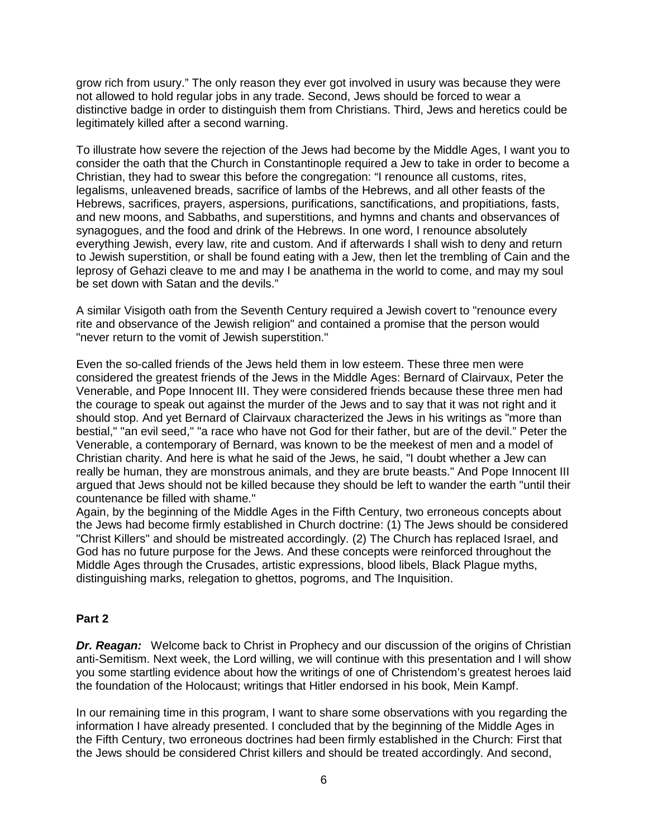grow rich from usury." The only reason they ever got involved in usury was because they were not allowed to hold regular jobs in any trade. Second, Jews should be forced to wear a distinctive badge in order to distinguish them from Christians. Third, Jews and heretics could be legitimately killed after a second warning.

To illustrate how severe the rejection of the Jews had become by the Middle Ages, I want you to consider the oath that the Church in Constantinople required a Jew to take in order to become a Christian, they had to swear this before the congregation: "I renounce all customs, rites, legalisms, unleavened breads, sacrifice of lambs of the Hebrews, and all other feasts of the Hebrews, sacrifices, prayers, aspersions, purifications, sanctifications, and propitiations, fasts, and new moons, and Sabbaths, and superstitions, and hymns and chants and observances of synagogues, and the food and drink of the Hebrews. In one word, I renounce absolutely everything Jewish, every law, rite and custom. And if afterwards I shall wish to deny and return to Jewish superstition, or shall be found eating with a Jew, then let the trembling of Cain and the leprosy of Gehazi cleave to me and may I be anathema in the world to come, and may my soul be set down with Satan and the devils."

A similar Visigoth oath from the Seventh Century required a Jewish covert to "renounce every rite and observance of the Jewish religion" and contained a promise that the person would "never return to the vomit of Jewish superstition."

Even the so-called friends of the Jews held them in low esteem. These three men were considered the greatest friends of the Jews in the Middle Ages: Bernard of Clairvaux, Peter the Venerable, and Pope Innocent III. They were considered friends because these three men had the courage to speak out against the murder of the Jews and to say that it was not right and it should stop. And yet Bernard of Clairvaux characterized the Jews in his writings as "more than bestial," "an evil seed," "a race who have not God for their father, but are of the devil." Peter the Venerable, a contemporary of Bernard, was known to be the meekest of men and a model of Christian charity. And here is what he said of the Jews, he said, "I doubt whether a Jew can really be human, they are monstrous animals, and they are brute beasts." And Pope Innocent III argued that Jews should not be killed because they should be left to wander the earth "until their countenance be filled with shame."

Again, by the beginning of the Middle Ages in the Fifth Century, two erroneous concepts about the Jews had become firmly established in Church doctrine: (1) The Jews should be considered "Christ Killers" and should be mistreated accordingly. (2) The Church has replaced Israel, and God has no future purpose for the Jews. And these concepts were reinforced throughout the Middle Ages through the Crusades, artistic expressions, blood libels, Black Plague myths, distinguishing marks, relegation to ghettos, pogroms, and The Inquisition.

## **Part 2**

**Dr. Reagan:** Welcome back to Christ in Prophecy and our discussion of the origins of Christian anti-Semitism. Next week, the Lord willing, we will continue with this presentation and I will show you some startling evidence about how the writings of one of Christendom's greatest heroes laid the foundation of the Holocaust; writings that Hitler endorsed in his book, Mein Kampf.

In our remaining time in this program, I want to share some observations with you regarding the information I have already presented. I concluded that by the beginning of the Middle Ages in the Fifth Century, two erroneous doctrines had been firmly established in the Church: First that the Jews should be considered Christ killers and should be treated accordingly. And second,